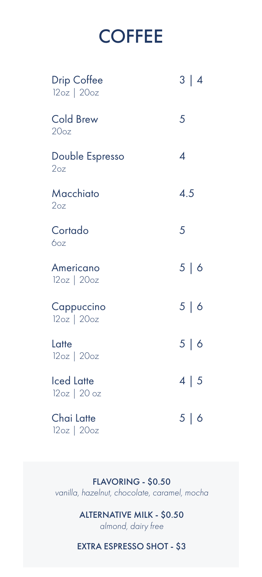## **COFFEE**

| <b>Drip Coffee</b><br>12oz   20oz  | 3 4        |
|------------------------------------|------------|
| <b>Cold Brew</b><br>20oz           | 5          |
| Double Espresso<br>2 <sub>oz</sub> | 4          |
| Macchiato<br>2oz                   | 4.5        |
| Cortado<br><b>6oz</b>              | 5          |
| Americano<br>$12oz$   $20oz$       | 5   6      |
| Cappuccino<br>12oz   20oz          | 5   6      |
| Latte<br>$12oz$   $20oz$           | 5   6      |
| <b>Iced Latte</b><br>12oz   20 oz  | $4 \mid 5$ |
| Chai Latte<br>12oz   20oz          | 5   6      |

FLAVORING - \$0.50 *vanilla, hazelnut, chocolate, caramel, mocha*

### ALTERNATIVE MILK - \$0.50

*almond, dairy free*

#### EXTRA ESPRESSO SHOT - \$3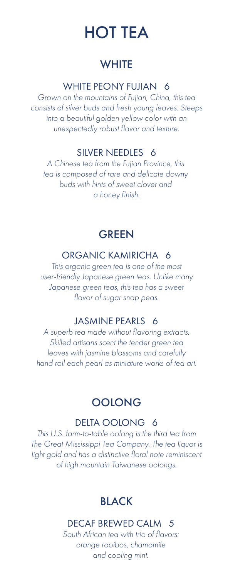## HOT TEA

## **WHITE**

#### WHITE PEONY FUJIAN 6

*Grown on the mountains of Fujian, China, this tea consists of silver buds and fresh young leaves. Steeps into a beautiful golden yellow color with an unexpectedly robust flavor and texture.*

### SILVER NEEDLES 6

*A Chinese tea from the Fujian Province, this tea is composed of rare and delicate downy buds with hints of sweet clover and a honey finish.*

## **GREEN**

## ORGANIC KAMIRICHA 6

*This organic green tea is one of the most user-friendly Japanese green teas. Unlike many Japanese green teas, this tea has a sweet flavor of sugar snap peas.*

#### JASMINE PEARLS 6

*A superb tea made without flavoring extracts. Skilled artisans scent the tender green tea leaves with jasmine blossoms and carefully hand roll each pearl as miniature works of tea art.*

## **OOLONG**

#### DELTA OOLONG 6

*This U.S. farm-to-table oolong is the third tea from The Great Mississippi Tea Company. The tea liquor is light gold and has a distinctive floral note reminiscent of high mountain Taiwanese oolongs.*

## BLACK

## DECAF BREWED CALM 5

*South African tea with trio of flavors: orange rooibos, chamomile and cooling mint.*